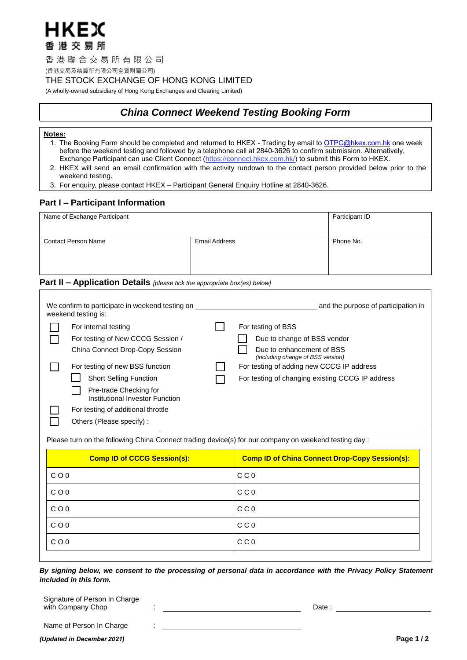

香 港 聯 合 交 易 所 有 限 公 司

(香港交易及結算所有限公司全資附屬公司)

THE STOCK EXCHANGE OF HONG KONG LIMITED

(A wholly-owned subsidiary of Hong Kong Exchanges and Clearing Limited)

# *China Connect Weekend Testing Booking Form*

# **Notes:**

- 1. The Booking Form should be completed and returned to HKEX Trading by email to OTPC@hkex.com.hk one week before the weekend testing and followed by a telephone call at 2840-3626 to confirm submission. Alternatively, Exchange Participant can use Client Connect ([https://connect.hkex.com.hk/\)](https://connect.hkex.com.hk/) to submit this Form to HKEX.
- 2. HKEX will send an email confirmation with the activity rundown to the contact person provided below prior to the weekend testing.
- 3. For enquiry, please contact HKEX Participant General Enquiry Hotline at 2840-3626.

# **Part I – Participant Information**

| Name of Exchange Participant | Participant ID       |           |
|------------------------------|----------------------|-----------|
| <b>Contact Person Name</b>   | <b>Email Address</b> | Phone No. |

# **Part II – Application Details** *[please tick the appropriate box(es) below]*

| We confirm to participate in weekend testing on<br>weekend testing is:                                                                                       | and the purpose of participation in                                                                         |
|--------------------------------------------------------------------------------------------------------------------------------------------------------------|-------------------------------------------------------------------------------------------------------------|
| For internal testing<br>For testing of New CCCG Session /                                                                                                    | For testing of BSS<br>Due to change of BSS vendor                                                           |
| China Connect Drop-Copy Session<br>For testing of new BSS function                                                                                           | Due to enhancement of BSS<br>(including change of BSS version)<br>For testing of adding new CCCG IP address |
| <b>Short Selling Function</b><br>Pre-trade Checking for<br>Institutional Investor Function<br>For testing of additional throttle<br>Others (Please specify): | For testing of changing existing CCCG IP address                                                            |

Please turn on the following China Connect trading device(s) for our company on weekend testing day :

| <b>Comp ID of CCCG Session(s):</b> | <b>Comp ID of China Connect Drop-Copy Session(s):</b> |
|------------------------------------|-------------------------------------------------------|
| $C$ O 0                            | C C 0                                                 |
| $C$ O 0                            | C C 0                                                 |
| $C$ O 0                            | C C 0                                                 |
| $C$ O 0                            | C C 0                                                 |
| $C$ O 0                            | C C 0                                                 |

*By signing below, we consent to the processing of personal data in accordance with the Privacy Policy Statement included in this form.*

| Signature of Person In Charge |  |        |
|-------------------------------|--|--------|
| with Company Chop             |  | Date : |
|                               |  |        |

:

Name of Person In Charge